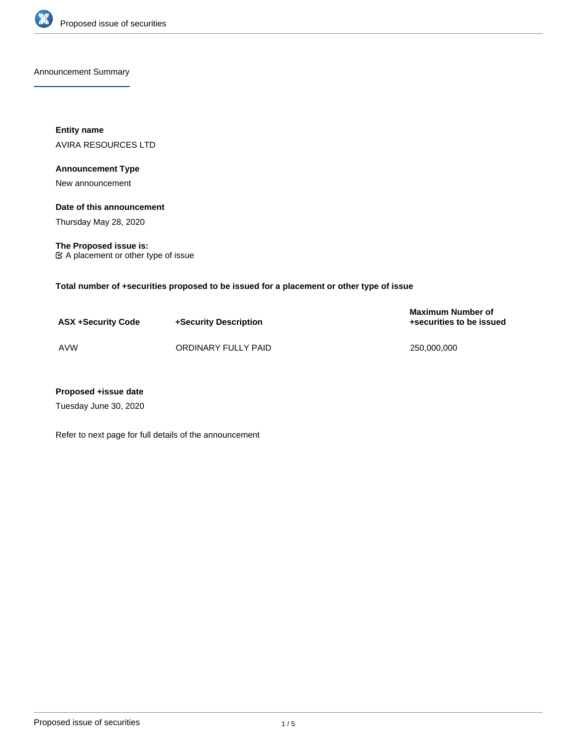

Announcement Summary

**Entity name** AVIRA RESOURCES LTD

## **Announcement Type**

New announcement

## **Date of this announcement**

Thursday May 28, 2020

**The Proposed issue is:** A placement or other type of issue

**Total number of +securities proposed to be issued for a placement or other type of issue**

| <b>ASX +Security Code</b> | +Security Description | <b>Maximum Number of</b><br>+securities to be issued |
|---------------------------|-----------------------|------------------------------------------------------|
| <b>AVW</b>                | ORDINARY FULLY PAID   | 250.000.000                                          |

## **Proposed +issue date**

Tuesday June 30, 2020

Refer to next page for full details of the announcement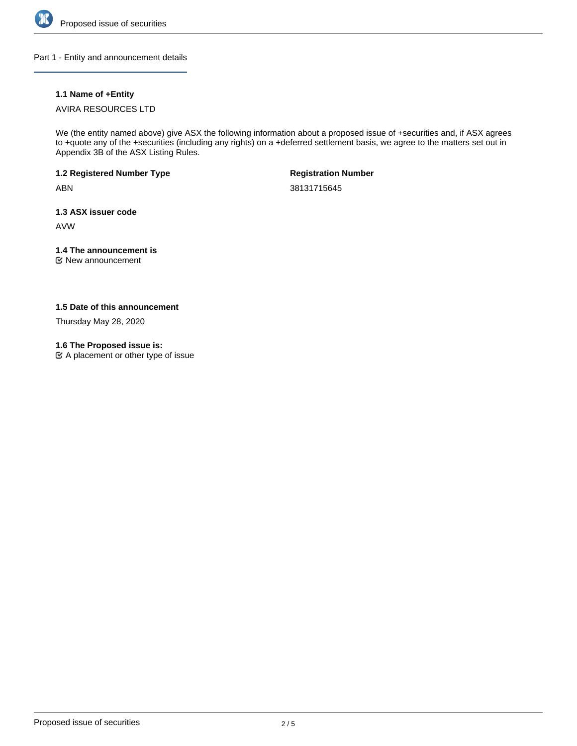

Part 1 - Entity and announcement details

## **1.1 Name of +Entity**

## AVIRA RESOURCES LTD

We (the entity named above) give ASX the following information about a proposed issue of +securities and, if ASX agrees to +quote any of the +securities (including any rights) on a +deferred settlement basis, we agree to the matters set out in Appendix 3B of the ASX Listing Rules.

**1.2 Registered Number Type**

ABN

**Registration Number**

38131715645

**1.3 ASX issuer code**

AVW

## **1.4 The announcement is**

New announcement

**1.5 Date of this announcement**

Thursday May 28, 2020

**1.6 The Proposed issue is:**

A placement or other type of issue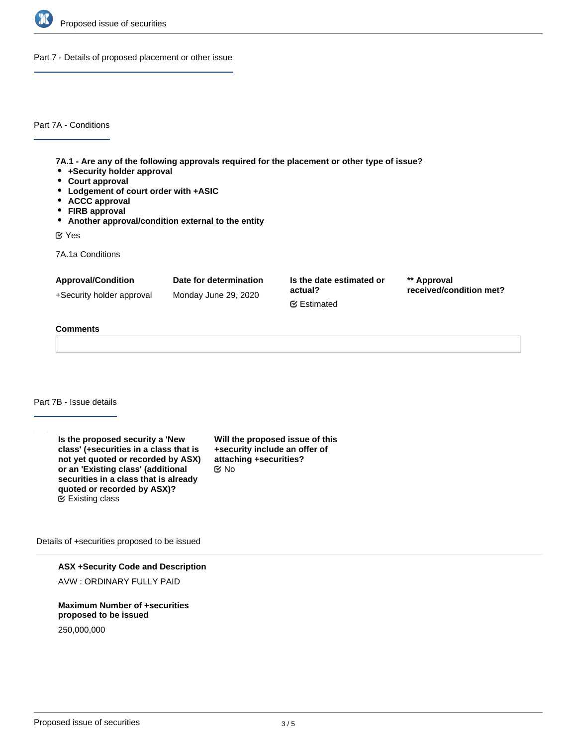

Part 7 - Details of proposed placement or other issue

Part 7A - Conditions

**7A.1 - Are any of the following approvals required for the placement or other type of issue?**

- **+Security holder approval**
- **Court approval**
- **Lodgement of court order with +ASIC**
- **ACCC approval**
- **FIRB approval**
- **Another approval/condition external to the entity**

Yes

7A.1a Conditions

| <b>Approval/Condition</b> | Date for determination | Is the date estimated or       | ** Approval             |
|---------------------------|------------------------|--------------------------------|-------------------------|
| +Security holder approval | Monday June 29, 2020   | actual?<br><b></b> ■ Estimated | received/condition met? |

## **Comments**

Part 7B - Issue details

**Is the proposed security a 'New class' (+securities in a class that is not yet quoted or recorded by ASX) or an 'Existing class' (additional securities in a class that is already quoted or recorded by ASX)?**  $E$  Existing class

**Will the proposed issue of this +security include an offer of attaching +securities?** No

Details of +securities proposed to be issued

**ASX +Security Code and Description**

AVW : ORDINARY FULLY PAID

**Maximum Number of +securities proposed to be issued**

250,000,000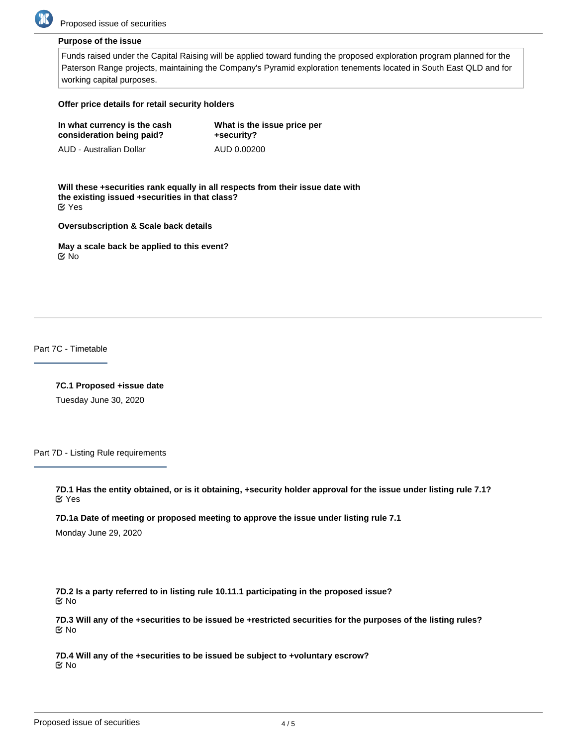

## **Purpose of the issue**

Funds raised under the Capital Raising will be applied toward funding the proposed exploration program planned for the Paterson Range projects, maintaining the Company's Pyramid exploration tenements located in South East QLD and for working capital purposes.

#### **Offer price details for retail security holders**

| In what currency is the cash | What is the issue price per |  |
|------------------------------|-----------------------------|--|
| consideration being paid?    | +security?                  |  |
| AUD - Australian Dollar      | AUD 0.00200                 |  |

**Will these +securities rank equally in all respects from their issue date with the existing issued +securities in that class?** Yes

**Oversubscription & Scale back details**

**May a scale back be applied to this event?** No

Part 7C - Timetable

**7C.1 Proposed +issue date**

Tuesday June 30, 2020

Part 7D - Listing Rule requirements

**7D.1 Has the entity obtained, or is it obtaining, +security holder approval for the issue under listing rule 7.1?** Yes

**7D.1a Date of meeting or proposed meeting to approve the issue under listing rule 7.1**

Monday June 29, 2020

**7D.2 Is a party referred to in listing rule 10.11.1 participating in the proposed issue?** No

**7D.3 Will any of the +securities to be issued be +restricted securities for the purposes of the listing rules?** No

**7D.4 Will any of the +securities to be issued be subject to +voluntary escrow?** No